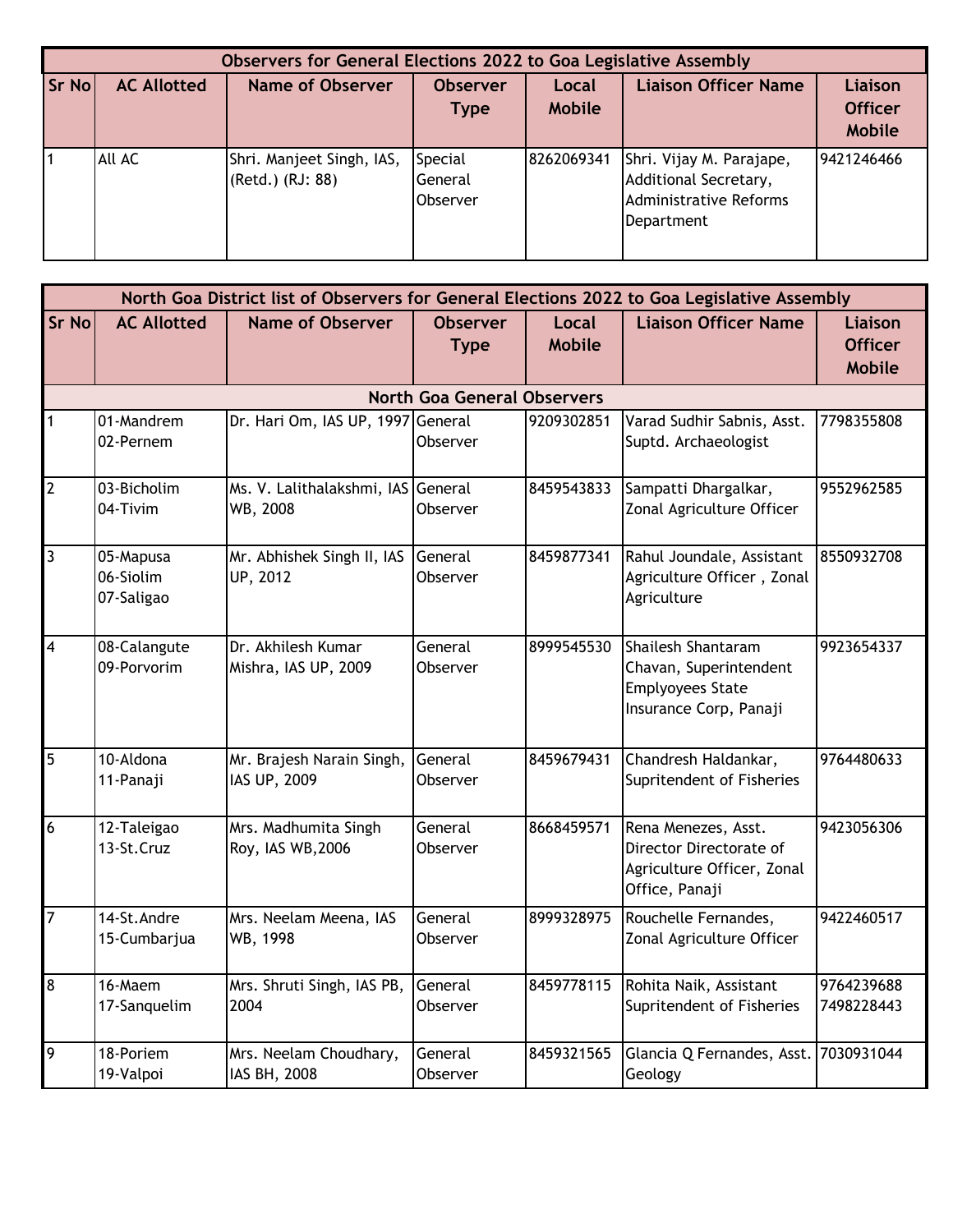|       |                    | Observers for General Elections 2022 to Goa Legislative Assembly |                                       |                        |                                                                                           |                                                   |
|-------|--------------------|------------------------------------------------------------------|---------------------------------------|------------------------|-------------------------------------------------------------------------------------------|---------------------------------------------------|
| Sr No | <b>AC Allotted</b> | <b>Name of Observer</b>                                          | <b>Observer</b><br><b>Type</b>        | Local<br><b>Mobile</b> | <b>Liaison Officer Name</b>                                                               | <b>Liaison</b><br><b>Officer</b><br><b>Mobile</b> |
|       | All AC             | Shri. Manjeet Singh, IAS,<br>(Retd.) (RJ: 88)                    | Special<br>General<br><b>Observer</b> | 8262069341             | Shri. Vijay M. Parajape,<br>Additional Secretary,<br>Administrative Reforms<br>Department | 9421246466                                        |

|                         | North Goa District list of Observers for General Elections 2022 to Goa Legislative Assembly |                                                |                                    |                               |                                                                                                   |                                                   |
|-------------------------|---------------------------------------------------------------------------------------------|------------------------------------------------|------------------------------------|-------------------------------|---------------------------------------------------------------------------------------------------|---------------------------------------------------|
| <b>Sr No</b>            | <b>AC Allotted</b>                                                                          | <b>Name of Observer</b>                        | <b>Observer</b><br><b>Type</b>     | <b>Local</b><br><b>Mobile</b> | <b>Liaison Officer Name</b>                                                                       | <b>Liaison</b><br><b>Officer</b><br><b>Mobile</b> |
|                         |                                                                                             |                                                | <b>North Goa General Observers</b> |                               |                                                                                                   |                                                   |
| 1                       | 01-Mandrem<br>02-Pernem                                                                     | Dr. Hari Om, IAS UP, 1997 General              | Observer                           | 9209302851                    | Varad Sudhir Sabnis, Asst.<br>Suptd. Archaeologist                                                | 7798355808                                        |
| $\overline{2}$          | 03-Bicholim<br>04-Tivim                                                                     | Ms. V. Lalithalakshmi, IAS General<br>WB, 2008 | Observer                           | 8459543833                    | Sampatti Dhargalkar,<br>Zonal Agriculture Officer                                                 | 9552962585                                        |
| 3                       | 05-Mapusa<br>06-Siolim<br>07-Saligao                                                        | Mr. Abhishek Singh II, IAS<br>UP, 2012         | General<br>Observer                | 8459877341                    | Rahul Joundale, Assistant<br>Agriculture Officer, Zonal<br>Agriculture                            | 8550932708                                        |
| $\overline{\mathbf{4}}$ | 08-Calangute<br>09-Porvorim                                                                 | Dr. Akhilesh Kumar<br>Mishra, IAS UP, 2009     | General<br>Observer                | 8999545530                    | Shailesh Shantaram<br>Chavan, Superintendent<br><b>Emplyoyees State</b><br>Insurance Corp, Panaji | 9923654337                                        |
| 5                       | 10-Aldona<br>11-Panaji                                                                      | Mr. Brajesh Narain Singh,<br>IAS UP, 2009      | General<br>Observer                | 8459679431                    | Chandresh Haldankar,<br>Supritendent of Fisheries                                                 | 9764480633                                        |
| 6                       | 12-Taleigao<br>13-St.Cruz                                                                   | Mrs. Madhumita Singh<br>Roy, IAS WB, 2006      | General<br>Observer                | 8668459571                    | Rena Menezes, Asst.<br>Director Directorate of<br>Agriculture Officer, Zonal<br>Office, Panaji    | 9423056306                                        |
| $\overline{7}$          | 14-St.Andre<br>15-Cumbarjua                                                                 | Mrs. Neelam Meena, IAS<br>WB, 1998             | General<br>Observer                | 8999328975                    | Rouchelle Fernandes,<br>Zonal Agriculture Officer                                                 | 9422460517                                        |
| $\boldsymbol{8}$        | 16-Maem<br>17-Sanquelim                                                                     | Mrs. Shruti Singh, IAS PB,<br>2004             | General<br>Observer                | 8459778115                    | Rohita Naik, Assistant<br>Supritendent of Fisheries                                               | 9764239688<br>7498228443                          |
| $\overline{9}$          | 18-Poriem<br>19-Valpoi                                                                      | Mrs. Neelam Choudhary,<br>IAS BH, 2008         | General<br>Observer                | 8459321565                    | Glancia Q Fernandes, Asst. 7030931044<br>Geology                                                  |                                                   |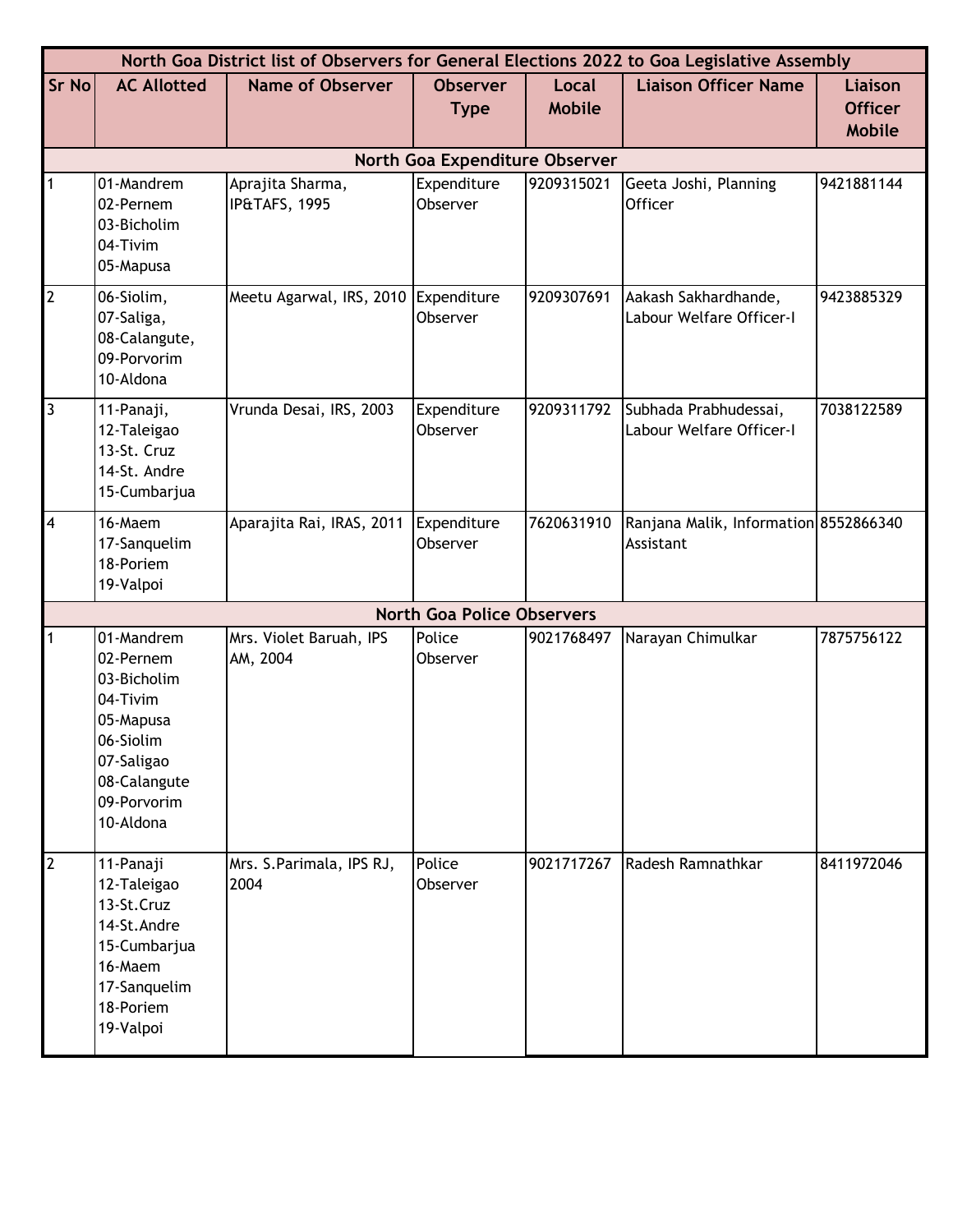|                         |                                                                                                                                        |                                      |                                   |                        | North Goa District list of Observers for General Elections 2022 to Goa Legislative Assembly |                                                   |
|-------------------------|----------------------------------------------------------------------------------------------------------------------------------------|--------------------------------------|-----------------------------------|------------------------|---------------------------------------------------------------------------------------------|---------------------------------------------------|
| Sr No                   | <b>AC Allotted</b>                                                                                                                     | <b>Name of Observer</b>              | <b>Observer</b><br><b>Type</b>    | Local<br><b>Mobile</b> | <b>Liaison Officer Name</b>                                                                 | <b>Liaison</b><br><b>Officer</b><br><b>Mobile</b> |
|                         |                                                                                                                                        |                                      | North Goa Expenditure Observer    |                        |                                                                                             |                                                   |
| 1                       | 01-Mandrem<br>02-Pernem<br>03-Bicholim<br>04-Tivim<br>05-Mapusa                                                                        | Aprajita Sharma,<br>IP&TAFS, 1995    | Expenditure<br>Observer           | 9209315021             | Geeta Joshi, Planning<br><b>Officer</b>                                                     | 9421881144                                        |
| $\overline{2}$          | 06-Siolim,<br>07-Saliga,<br>08-Calangute,<br>09-Porvorim<br>10-Aldona                                                                  | Meetu Agarwal, IRS, 2010 Expenditure | Observer                          | 9209307691             | Aakash Sakhardhande,<br>Labour Welfare Officer-I                                            | 9423885329                                        |
| $\overline{3}$          | 11-Panaji,<br>12-Taleigao<br>13-St. Cruz<br>14-St. Andre<br>15-Cumbarjua                                                               | Vrunda Desai, IRS, 2003              | Expenditure<br>Observer           | 9209311792             | Subhada Prabhudessai,<br>Labour Welfare Officer-I                                           | 7038122589                                        |
| $\overline{\mathbf{4}}$ | 16-Maem<br>17-Sanquelim<br>18-Poriem<br>19-Valpoi                                                                                      | Aparajita Rai, IRAS, 2011            | Expenditure<br>Observer           | 7620631910             | Ranjana Malik, Information 8552866340<br>Assistant                                          |                                                   |
|                         |                                                                                                                                        |                                      | <b>North Goa Police Observers</b> |                        |                                                                                             |                                                   |
|                         | 01-Mandrem<br>02-Pernem<br>03-Bicholim<br>04-Tivim<br>05-Mapusa<br>06-Siolim<br>07-Saligao<br>08-Calangute<br>09-Porvorim<br>10-Aldona | Mrs. Violet Baruah, IPS<br>AM, 2004  | Police<br>Observer                | 9021768497             | Narayan Chimulkar                                                                           | 7875756122                                        |
| $\overline{2}$          | 11-Panaji<br>12-Taleigao<br>13-St.Cruz<br>14-St.Andre<br>15-Cumbarjua<br>16-Maem<br>17-Sanquelim<br>18-Poriem<br>19-Valpoi             | Mrs. S.Parimala, IPS RJ,<br>2004     | Police<br>Observer                | 9021717267             | Radesh Ramnathkar                                                                           | 8411972046                                        |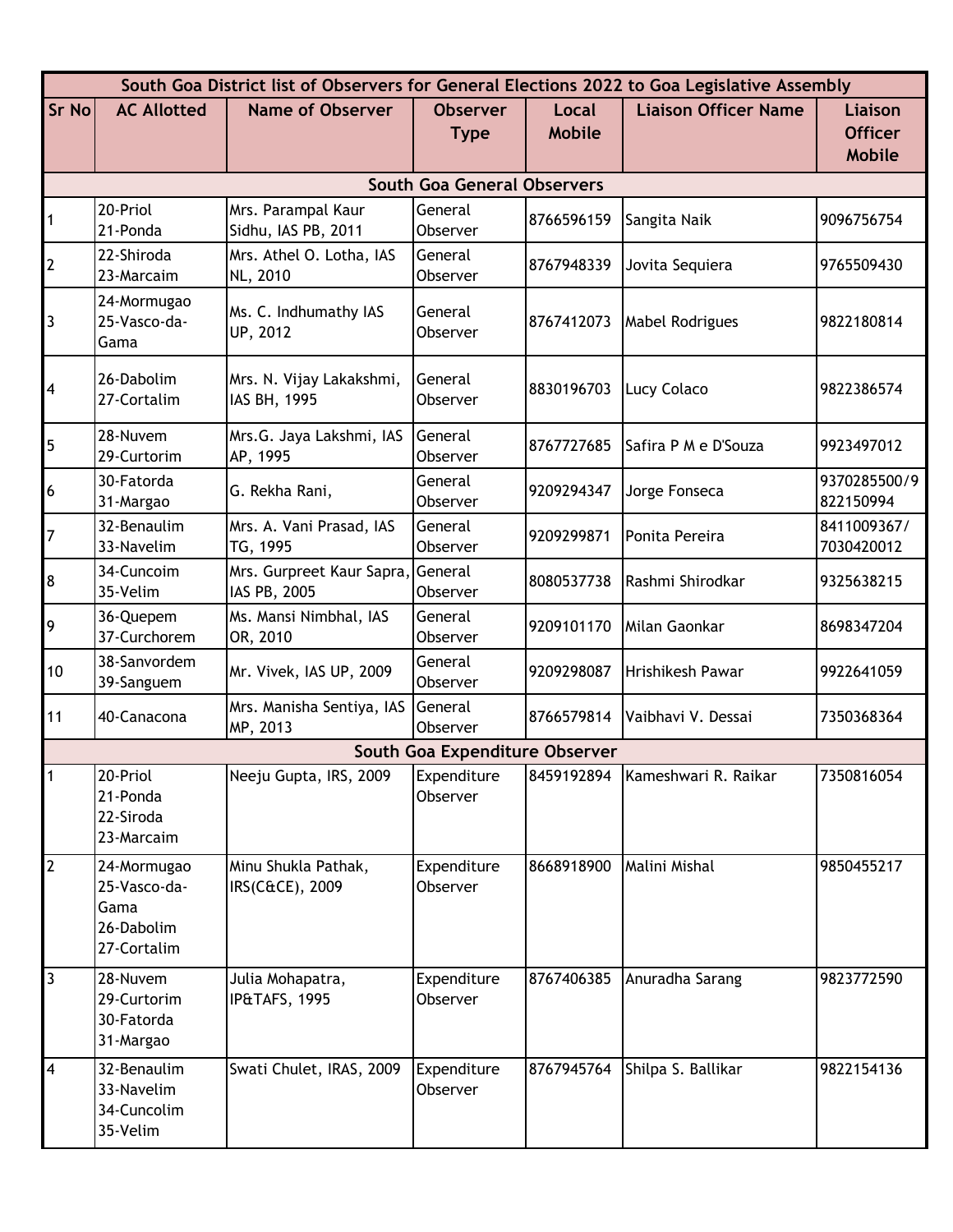|                |                                                                  |                                                   |                                    |                        | South Goa District list of Observers for General Elections 2022 to Goa Legislative Assembly |                                            |
|----------------|------------------------------------------------------------------|---------------------------------------------------|------------------------------------|------------------------|---------------------------------------------------------------------------------------------|--------------------------------------------|
| Sr No          | <b>AC Allotted</b>                                               | <b>Name of Observer</b>                           | <b>Observer</b><br><b>Type</b>     | Local<br><b>Mobile</b> | <b>Liaison Officer Name</b>                                                                 | Liaison<br><b>Officer</b><br><b>Mobile</b> |
|                |                                                                  |                                                   | <b>South Goa General Observers</b> |                        |                                                                                             |                                            |
| $\vert$ 1      | 20-Priol<br>21-Ponda                                             | Mrs. Parampal Kaur<br>Sidhu, IAS PB, 2011         | General<br>Observer                | 8766596159             | Sangita Naik                                                                                | 9096756754                                 |
| $\overline{2}$ | 22-Shiroda<br>23-Marcaim                                         | Mrs. Athel O. Lotha, IAS<br>NL, 2010              | General<br>Observer                | 8767948339             | Jovita Sequiera                                                                             | 9765509430                                 |
| $\boxed{3}$    | 24-Mormugao<br>25-Vasco-da-<br>Gama                              | Ms. C. Indhumathy IAS<br>UP, 2012                 | General<br>Observer                | 8767412073             | <b>Mabel Rodrigues</b>                                                                      | 9822180814                                 |
| $\overline{A}$ | 26-Dabolim<br>27-Cortalim                                        | Mrs. N. Vijay Lakakshmi,<br>IAS BH, 1995          | General<br>Observer                | 8830196703             | Lucy Colaco                                                                                 | 9822386574                                 |
| 5              | 28-Nuvem<br>29-Curtorim                                          | Mrs.G. Jaya Lakshmi, IAS<br>AP, 1995              | General<br>Observer                | 8767727685             | Safira P M e D'Souza                                                                        | 9923497012                                 |
| 6              | 30-Fatorda<br>31-Margao                                          | G. Rekha Rani,                                    | General<br>Observer                | 9209294347             | Jorge Fonseca                                                                               | 9370285500/9<br>822150994                  |
| 7              | 32-Benaulim<br>33-Navelim                                        | Mrs. A. Vani Prasad, IAS<br>TG, 1995              | General<br>Observer                | 9209299871             | Ponita Pereira                                                                              | 8411009367/<br>7030420012                  |
| 8              | 34-Cuncoim<br>35-Velim                                           | Mrs. Gurpreet Kaur Sapra, General<br>IAS PB, 2005 | Observer                           | 8080537738             | Rashmi Shirodkar                                                                            | 9325638215                                 |
| 9              | 36-Quepem<br>37-Curchorem                                        | Ms. Mansi Nimbhal, IAS<br>OR, 2010                | General<br>Observer                | 9209101170             | Milan Gaonkar                                                                               | 8698347204                                 |
| 10             | 38-Sanvordem<br>39-Sanguem                                       | Mr. Vivek, IAS UP, 2009                           | General<br>Observer                | 9209298087             | Hrishikesh Pawar                                                                            | 9922641059                                 |
| 11             | 40-Canacona                                                      | Mrs. Manisha Sentiya, IAS<br>MP, 2013             | General<br>Observer                | 8766579814             | Vaibhavi V. Dessai                                                                          | 7350368364                                 |
|                |                                                                  |                                                   | South Goa Expenditure Observer     |                        |                                                                                             |                                            |
|                | 20-Priol<br>21-Ponda<br>22-Siroda<br>23-Marcaim                  | Neeju Gupta, IRS, 2009                            | Expenditure<br>Observer            | 8459192894             | Kameshwari R. Raikar                                                                        | 7350816054                                 |
| $\overline{2}$ | 24-Mormugao<br>25-Vasco-da-<br>Gama<br>26-Dabolim<br>27-Cortalim | Minu Shukla Pathak,<br>IRS(C&CE), 2009            | Expenditure<br>Observer            | 8668918900             | Malini Mishal                                                                               | 9850455217                                 |
| $\overline{3}$ | 28-Nuvem<br>29-Curtorim<br>30-Fatorda<br>31-Margao               | Julia Mohapatra,<br>IP&TAFS, 1995                 | Expenditure<br>Observer            | 8767406385             | Anuradha Sarang                                                                             | 9823772590                                 |
| $\overline{4}$ | 32-Benaulim<br>33-Navelim<br>34-Cuncolim<br>35-Velim             | Swati Chulet, IRAS, 2009                          | Expenditure<br>Observer            | 8767945764             | Shilpa S. Ballikar                                                                          | 9822154136                                 |